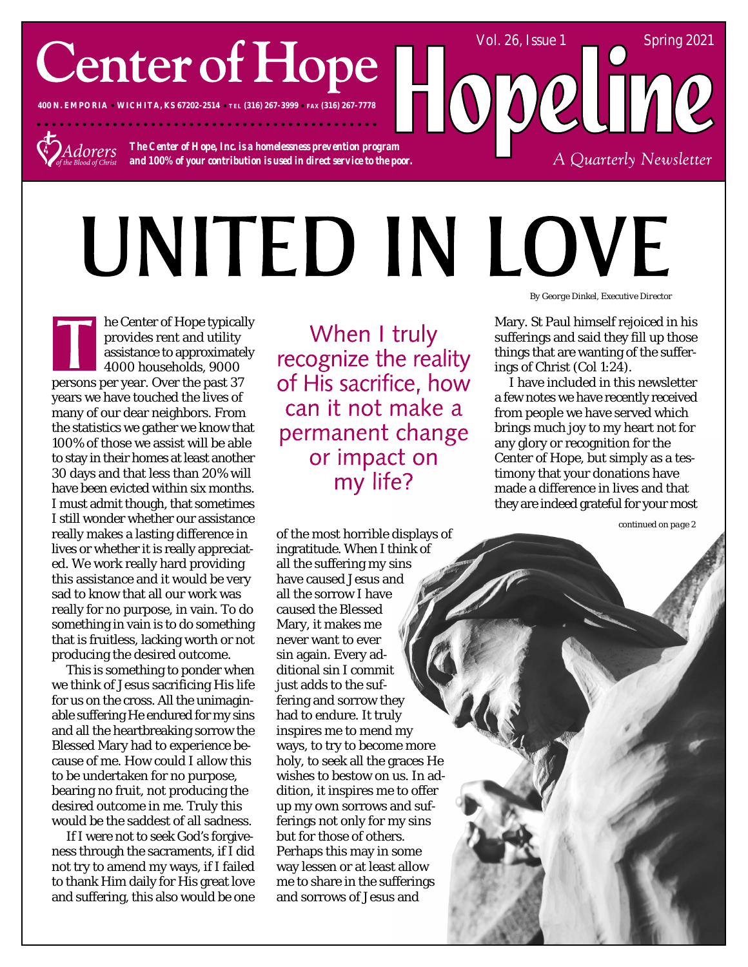## **Center of Hope**

**400 N. EMPORIA WICHITA, KS 67202-2514 TEL (316) 267-3999 FAX (316) 267-7778**



*The Center of Hope, Inc. is a homelessness prevention program and 100% of your contribution is used in direct service to the poor.*

. . . . . . . . . . . . . . .

# UNITED IN LOVE

he Center of Hope typically provides rent and utility assistance to approximately 4000 households, 9000 persons per year. Over the past 37 years we have touched the lives of many of our dear neighbors. From the statistics we gather we know that 100% of those we assist will be able to stay in their homes at least another 30 days and that less than 20% will have been evicted within six months. I must admit though, that sometimes I still wonder whether our assistance really makes a lasting difference in lives or whether it is really appreciated. We work really hard providing this assistance and it would be very sad to know that all our work was really for no purpose, in vain. To do something in vain is to do something that is fruitless, lacking worth or not producing the desired outcome.

This is something to ponder when we think of Jesus sacrificing His life for us on the cross. All the unimaginable suffering He endured for my sins and all the heartbreaking sorrow the Blessed Mary had to experience because of me. How could I allow this to be undertaken for no purpose, bearing no fruit, not producing the desired outcome in me. Truly this would be the saddest of all sadness.

If I were not to seek God's forgiveness through the sacraments, if I did not try to amend my ways, if I failed to thank Him daily for His great love and suffering, this also would be one

When I truly recognize the reality of His sacrifice, how can it not make a permanent change or impact on my life?

of the most horrible displays of ingratitude. When I think of all the suffering my sins have caused Jesus and all the sorrow I have caused the Blessed Mary, it makes me never want to ever sin again. Every additional sin I commit just adds to the suffering and sorrow they had to endure. It truly inspires me to mend my ways, to try to become more holy, to seek all the graces He wishes to bestow on us. In addition, it inspires me to offer up my own sorrows and sufferings not only for my sins but for those of others. Perhaps this may in some way lessen or at least allow me to share in the sufferings and sorrows of Jesus and

*By George Dinkel, Executive Director*

A Quarterly Newsletter

Vol. 26, Issue 1 Spring 2021

Mary. St Paul himself rejoiced in his sufferings and said they fill up those things that are wanting of the sufferings of Christ (Col 1:24).

I have included in this newsletter a few notes we have recently received from people we have served which brings much joy to my heart not for any glory or recognition for the Center of Hope, but simply as a testimony that your donations have made a difference in lives and that they are indeed grateful for your most

*continued on page 2*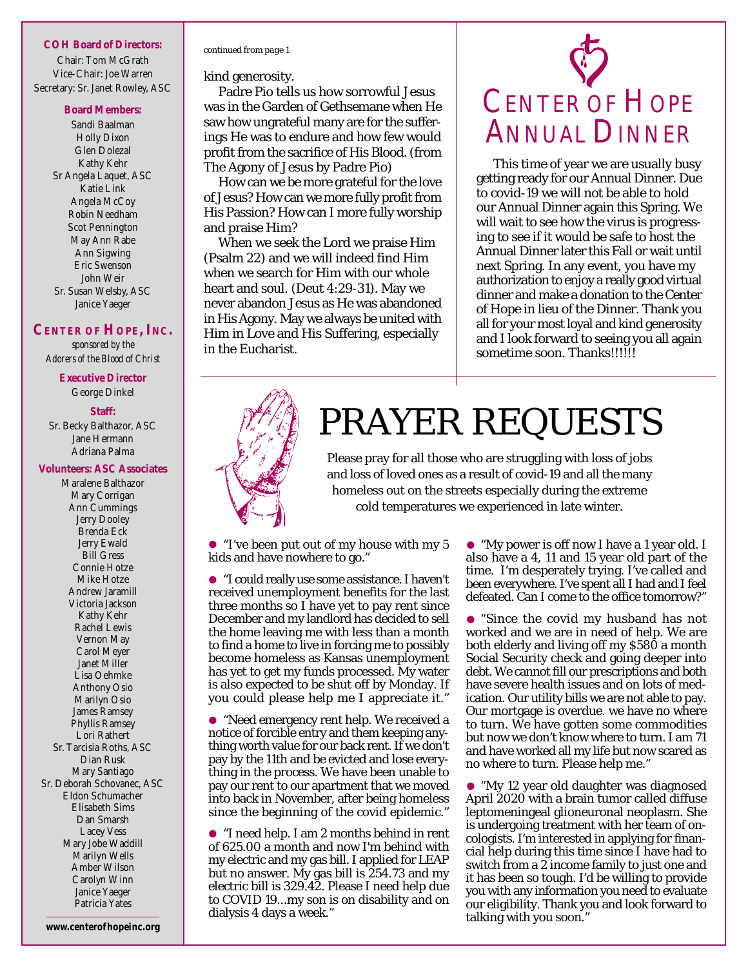#### **COH Board of Directors:**

Chair: Tom McGrath Vice-Chair: Joe Warren Secretary: Sr. Janet Rowley, ASC

#### **Board Members:**

Sandi Baalman Holly Dixon Glen Dolezal Kathy Kehr Sr Angela Laquet, ASC Katie Link Angela McCoy Robin Needham Scot Pennington May Ann Rabe Ann Sigwing Eric Swenson John Weir Sr. Susan Welsby, ASC Janice Yaeger

#### **CENTER OF HOPE, INC.**

*sponsored by the Adorers of the Blood of Christ*

> **Executive Director** George Dinkel

#### **Staff:**

Sr. Becky Balthazor, ASC Jane Hermann Adriana Palma

#### **Volunteers: ASC Associates**

Maralene Balthazor Mary Corrigan Ann Cummings Jerry Dooley Brenda Eck Jerry Ewald Bill Gress Connie Hotze Mike Hotze Andrew Jaramill Victoria Jackson Kathy Kehr Rachel Lewis Vernon May Carol Meyer Janet Miller Lisa Oehmke Anthony Osio Marilyn Osio James Ramsey Phyllis Ramsey Lori Rathert Sr. Tarcisia Roths, ASC Dian Rusk Mary Santiago Sr. Deborah Schovanec, ASC Eldon Schumacher Elisabeth Sims Dan Smarsh Lacey Vess Mary Jobe Waddill Marilyn Wells Amber Wilson Carolyn Winn Janice Yaeger Patricia Yates

Padre Pio tells us how sorrowful Jesus

was in the Garden of Gethsemane when He saw how ungrateful many are for the sufferings He was to endure and how few would profit from the sacrifice of His Blood. (from The Agony of Jesus by Padre Pio)

How can we be more grateful for the love of Jesus? How can we more fully profit from His Passion? How can I more fully worship and praise Him?

When we seek the Lord we praise Him (Psalm 22) and we will indeed find Him when we search for Him with our whole heart and soul. (Deut 4:29-31). May we never abandon Jesus as He was abandoned in His Agony. May we always be united with Him in Love and His Suffering, especially in the Eucharist.

### CENTER OF HOPE ANNUAL DINNER

This time of year we are usually busy getting ready for our Annual Dinner. Due to covid-19 we will not be able to hold our Annual Dinner again this Spring. We will wait to see how the virus is progressing to see if it would be safe to host the Annual Dinner later this Fall or wait until next Spring. In any event, you have my authorization to enjoy a really good virtual dinner and make a donation to the Center of Hope in lieu of the Dinner. Thank you all for your most loyal and kind generosity and I look forward to seeing you all again sometime soon. Thanks!!!!!!



kind generosity.

*continued from page 1*

### PRAYER REQUESTS

Please pray for all those who are struggling with loss of jobs and loss of loved ones as a result of covid-19 and all the many homeless out on the streets especially during the extreme cold temperatures we experienced in late winter.

"I've been put out of my house with my 5 kids and have nowhere to go."

"I could really use some assistance. I haven't received unemployment benefits for the last three months so I have yet to pay rent since December and my landlord has decided to sell the home leaving me with less than a month to find a home to live in forcing me to possibly become homeless as Kansas unemployment has yet to get my funds processed. My water is also expected to be shut off by Monday. If you could please help me I appreciate it."

"Need emergency rent help. We received a notice of forcible entry and them keeping anything worth value for our back rent. If we don't pay by the 11th and be evicted and lose everything in the process. We have been unable to pay our rent to our apartment that we moved into back in November, after being homeless since the beginning of the covid epidemic."

"I need help. I am 2 months behind in rent of 625.00 a month and now I'm behind with my electric and my gas bill. I applied for LEAP but no answer. My gas bill is 254.73 and my electric bill is 329.42. Please I need help due to COVID 19...my son is on disability and on dialysis 4 days a week."

• "My power is off now I have a 1 year old. I also have a 4, 11 and 15 year old part of the time. I'm desperately trying. I've called and been everywhere. I've spent all I had and I feel defeated. Can I come to the office tomorrow?"

"Since the covid my husband has not worked and we are in need of help. We are both elderly and living off my \$580 a month Social Security check and going deeper into debt. We cannot fill our prescriptions and both have severe health issues and on lots of medication. Our utility bills we are not able to pay. Our mortgage is overdue. we have no where to turn. We have gotten some commodities but now we don't know where to turn. I am 71 and have worked all my life but now scared as no where to turn. Please help me."

"My 12 year old daughter was diagnosed April 2020 with a brain tumor called diffuse leptomeningeal glioneuronal neoplasm. She is undergoing treatment with her team of oncologists. I'm interested in applying for financial help during this time since I have had to switch from a 2 income family to just one and it has been so tough. I'd be willing to provide you with any information you need to evaluate our eligibility. Thank you and look forward to talking with you soon."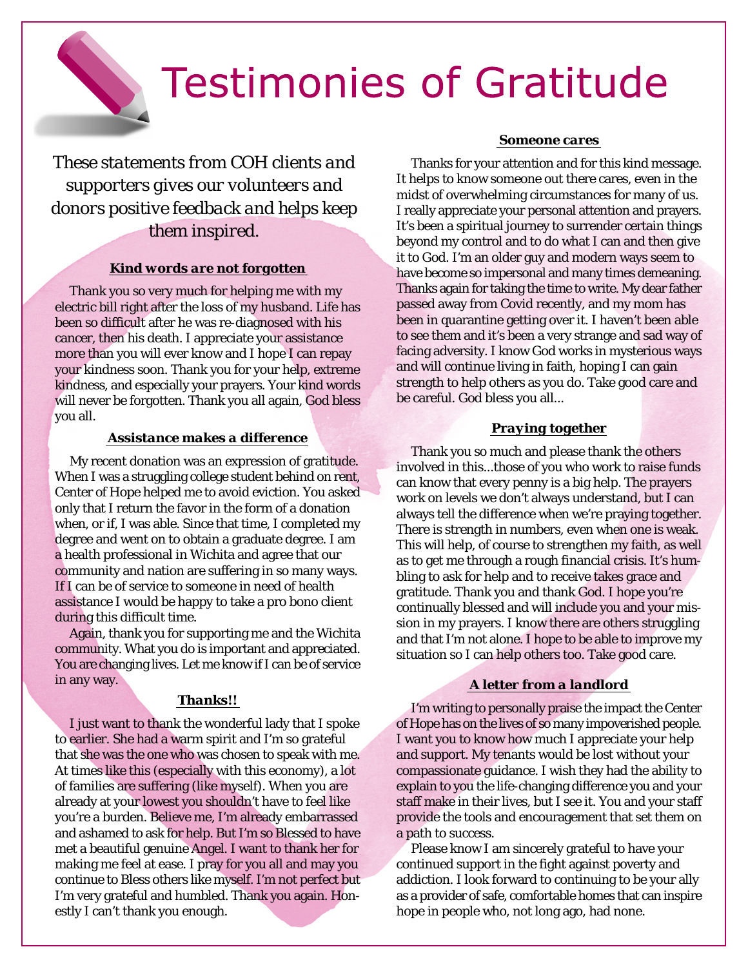

### **Testimonies of Gratitude**

*These statements from COH clients and supporters gives our volunteers and donors positive feedback and helps keep them inspired.*

#### *Kind words are not forgotten*

Thank you so very much for helping me with my electric bill right after the loss of my husband. Life has been so difficult after he was re-diagnosed with his cancer, then his death. I appreciate your assistance more than you will ever know and I hope I can repay your kindness soon. Thank you for your help, extreme kindness, and especially your prayers. Your kind words will never be forgotten. Thank you all again, God bless you all.

#### *Assistance makes a difference*

My recent donation was an expression of gratitude. When I was a struggling college student behind on rent, Center of Hope helped me to avoid eviction. You asked only that I return the favor in the form of a donation when, or if, I was able. Since that time, I completed my degree and went on to obtain a graduate degree. I am a health professional in Wichita and agree that our community and nation are suffering in so many ways. If I can be of service to someone in need of health assistance I would be happy to take a pro bono client during this difficult time.

Again, thank you for supporting me and the Wichita community. What you do is important and appreciated. You are changing lives. Let me know if I can be of service in any way.

#### *Thanks!!*

I just want to thank the wonderful lady that I spoke to earlier. She had a warm spirit and I'm so grateful that she was the one who was chosen to speak with me. At times like this (especially with this economy), a lot of families are suffering (like myself). When you are already at your lowest you shouldn't have to feel like you're a burden. Believe me, I'm already embarrassed and ashamed to ask for help. But I'm so Blessed to have met a beautiful genuine Angel. I want to thank her for making me feel at ease. I pray for you all and may you continue to Bless others like myself. I'm not perfect but I'm very grateful and humbled. Thank you again. Honestly I can't thank you enough.

#### *Someone cares*

Thanks for your attention and for this kind message. It helps to know someone out there cares, even in the midst of overwhelming circumstances for many of us. I really appreciate your personal attention and prayers. It's been a spiritual journey to surrender certain things beyond my control and to do what I can and then give it to God. I'm an older guy and modern ways seem to have become so impersonal and many times demeaning. Thanks again for taking the time to write. My dear father passed away from Covid recently, and my mom has been in quarantine getting over it. I haven't been able to see them and it's been a very strange and sad way of facing adversity. I know God works in mysterious ways and will continue living in faith, hoping I can gain strength to help others as you do. Take good care and be careful. God bless you all...

#### *Praying together*

Thank you so much and please thank the others involved in this...those of you who work to raise funds can know that every penny is a big help. The prayers work on levels we don't always understand, but I can always tell the difference when we're praying together. There is strength in numbers, even when one is weak. This will help, of course to strengthen my faith, as well as to get me through a rough financial crisis. It's humbling to ask for help and to receive takes grace and gratitude. Thank you and thank God. I hope you're continually blessed and will include you and your mission in my prayers. I know there are others struggling and that I'm not alone. I hope to be able to improve my situation so I can help others too. Take good care.

#### *A letter from a landlord*

I'm writing to personally praise the impact the Center of Hope has on the lives of so many impoverished people. I want you to know how much I appreciate your help and support. My tenants would be lost without your compassionate guidance. I wish they had the ability to explain to you the life-changing difference you and your staff make in their lives, but I see it. You and your staff provide the tools and encouragement that set them on a path to success.

Please know I am sincerely grateful to have your continued support in the fight against poverty and addiction. I look forward to continuing to be your ally as a provider of safe, comfortable homes that can inspire hope in people who, not long ago, had none.